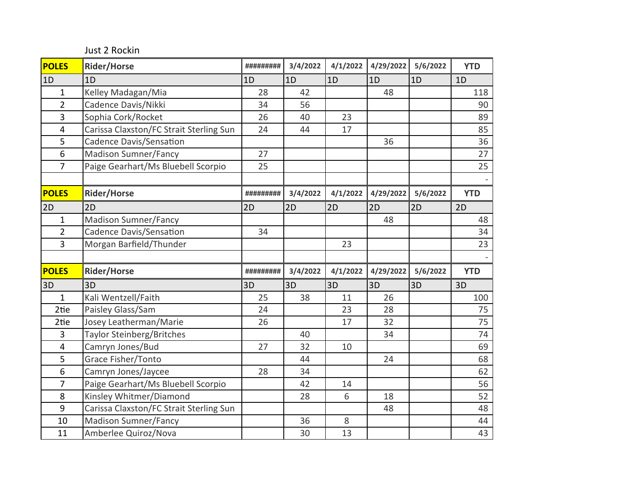Just 2 Rockin

| <b>POLES</b>            | <b>Rider/Horse</b>                      | ######### | 3/4/2022 | 4/1/2022 | 4/29/2022 | 5/6/2022 | <b>YTD</b> |
|-------------------------|-----------------------------------------|-----------|----------|----------|-----------|----------|------------|
| 1D                      | 1D                                      | 1D        | 1D       | 1D       | 1D        | 1D       | 1D         |
| $\mathbf{1}$            | Kelley Madagan/Mia                      | 28        | 42       |          | 48        |          | 118        |
| $\overline{2}$          | Cadence Davis/Nikki                     | 34        | 56       |          |           |          | 90         |
| 3                       | Sophia Cork/Rocket                      | 26        | 40       | 23       |           |          | 89         |
| $\overline{\mathbf{4}}$ | Carissa Claxston/FC Strait Sterling Sun | 24        | 44       | 17       |           |          | 85         |
| 5                       | <b>Cadence Davis/Sensation</b>          |           |          |          | 36        |          | 36         |
| 6                       | <b>Madison Sumner/Fancy</b>             | 27        |          |          |           |          | 27         |
| $\overline{7}$          | Paige Gearhart/Ms Bluebell Scorpio      | 25        |          |          |           |          | 25         |
|                         |                                         |           |          |          |           |          |            |
| <b>POLES</b>            | <b>Rider/Horse</b>                      | ######### | 3/4/2022 | 4/1/2022 | 4/29/2022 | 5/6/2022 | <b>YTD</b> |
| 2D                      | 2D                                      | 2D        | 2D       | 2D       | 2D        | 2D       | 2D         |
| $\mathbf{1}$            | <b>Madison Sumner/Fancy</b>             |           |          |          | 48        |          | 48         |
| $\overline{2}$          | <b>Cadence Davis/Sensation</b>          | 34        |          |          |           |          | 34         |
| $\overline{3}$          | Morgan Barfield/Thunder                 |           |          | 23       |           |          | 23         |
|                         |                                         |           |          |          |           |          |            |
| <b>POLES</b>            | <b>Rider/Horse</b>                      | ######### | 3/4/2022 | 4/1/2022 | 4/29/2022 | 5/6/2022 | <b>YTD</b> |
| 3D                      | 3D                                      | 3D        | 3D       | 3D       | 3D        | 3D       | 3D         |
| $\mathbf{1}$            | Kali Wentzell/Faith                     | 25        | 38       | 11       | 26        |          | 100        |
| 2tie                    | Paisley Glass/Sam                       | 24        |          | 23       | 28        |          | 75         |
| 2tie                    | Josey Leatherman/Marie                  | 26        |          | 17       | 32        |          | 75         |
| 3                       | Taylor Steinberg/Britches               |           | 40       |          | 34        |          | 74         |
| $\overline{4}$          | Camryn Jones/Bud                        | 27        | 32       | 10       |           |          | 69         |
| 5                       | Grace Fisher/Tonto                      |           | 44       |          | 24        |          | 68         |
| 6                       | Camryn Jones/Jaycee                     | 28        | 34       |          |           |          | 62         |
| 7                       | Paige Gearhart/Ms Bluebell Scorpio      |           | 42       | 14       |           |          | 56         |
| 8                       | Kinsley Whitmer/Diamond                 |           | 28       | 6        | 18        |          | 52         |
| $\boldsymbol{9}$        | Carissa Claxston/FC Strait Sterling Sun |           |          |          | 48        |          | 48         |
| 10                      | <b>Madison Sumner/Fancy</b>             |           | 36       | $\,8\,$  |           |          | 44         |
| 11                      | Amberlee Quiroz/Nova                    |           | 30       | 13       |           |          | 43         |